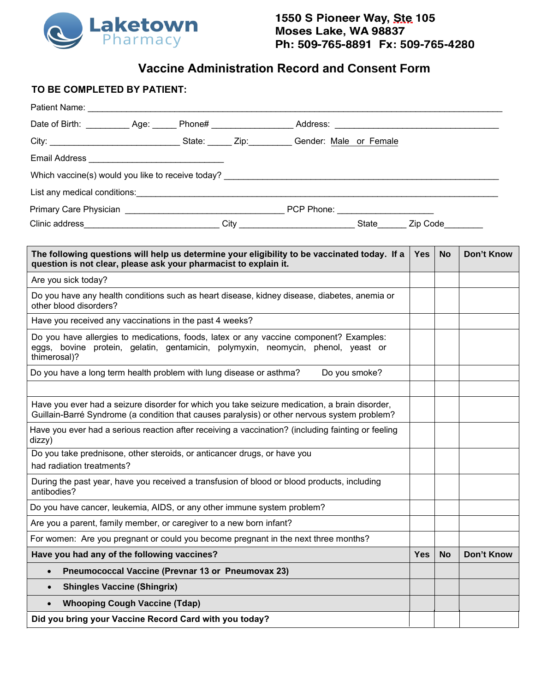

## **Vaccine Administration Record and Consent Form**

## **TO BE COMPLETED BY PATIENT:**

| Date of Birth: _____________ Age: _______ Phone# ________________________ Address: ___________________________                                                                                |  |  |                                                                                                                |               |            |           |                   |  |  |
|-----------------------------------------------------------------------------------------------------------------------------------------------------------------------------------------------|--|--|----------------------------------------------------------------------------------------------------------------|---------------|------------|-----------|-------------------|--|--|
| City: ___________________________________State: _______ Zip: __________ Gender: Male or Female                                                                                                |  |  |                                                                                                                |               |            |           |                   |  |  |
|                                                                                                                                                                                               |  |  |                                                                                                                |               |            |           |                   |  |  |
| Which vaccine(s) would you like to receive today?                                                                                                                                             |  |  |                                                                                                                |               |            |           |                   |  |  |
| List any medical conditions: example and conditions of the state of the state of the state of the state of the                                                                                |  |  |                                                                                                                |               |            |           |                   |  |  |
|                                                                                                                                                                                               |  |  |                                                                                                                |               |            |           |                   |  |  |
|                                                                                                                                                                                               |  |  | Clinic address________________________________City _____________________________State________Zip Code_________ |               |            |           |                   |  |  |
|                                                                                                                                                                                               |  |  |                                                                                                                |               |            |           |                   |  |  |
| The following questions will help us determine your eligibility to be vaccinated today. If a<br>question is not clear, please ask your pharmacist to explain it.                              |  |  |                                                                                                                |               | Yes        | <b>No</b> | <b>Don't Know</b> |  |  |
| Are you sick today?                                                                                                                                                                           |  |  |                                                                                                                |               |            |           |                   |  |  |
| Do you have any health conditions such as heart disease, kidney disease, diabetes, anemia or<br>other blood disorders?                                                                        |  |  |                                                                                                                |               |            |           |                   |  |  |
| Have you received any vaccinations in the past 4 weeks?                                                                                                                                       |  |  |                                                                                                                |               |            |           |                   |  |  |
| Do you have allergies to medications, foods, latex or any vaccine component? Examples:<br>eggs, bovine protein, gelatin, gentamicin, polymyxin, neomycin, phenol, yeast or<br>thimerosal)?    |  |  |                                                                                                                |               |            |           |                   |  |  |
| Do you have a long term health problem with lung disease or asthma?                                                                                                                           |  |  |                                                                                                                | Do you smoke? |            |           |                   |  |  |
|                                                                                                                                                                                               |  |  |                                                                                                                |               |            |           |                   |  |  |
| Have you ever had a seizure disorder for which you take seizure medication, a brain disorder,<br>Guillain-Barré Syndrome (a condition that causes paralysis) or other nervous system problem? |  |  |                                                                                                                |               |            |           |                   |  |  |
| Have you ever had a serious reaction after receiving a vaccination? (including fainting or feeling<br>dizzy)                                                                                  |  |  |                                                                                                                |               |            |           |                   |  |  |
| Do you take prednisone, other steroids, or anticancer drugs, or have you<br>had radiation treatments?                                                                                         |  |  |                                                                                                                |               |            |           |                   |  |  |
| During the past year, have you received a transfusion of blood or blood products, including<br>antibodies?                                                                                    |  |  |                                                                                                                |               |            |           |                   |  |  |
| Do you have cancer, leukemia, AIDS, or any other immune system problem?                                                                                                                       |  |  |                                                                                                                |               |            |           |                   |  |  |
| Are you a parent, family member, or caregiver to a new born infant?                                                                                                                           |  |  |                                                                                                                |               |            |           |                   |  |  |
| For women: Are you pregnant or could you become pregnant in the next three months?                                                                                                            |  |  |                                                                                                                |               |            |           |                   |  |  |
| Have you had any of the following vaccines?                                                                                                                                                   |  |  |                                                                                                                |               | <b>Yes</b> | <b>No</b> | <b>Don't Know</b> |  |  |
| <b>Pneumococcal Vaccine (Prevnar 13 or Pneumovax 23)</b>                                                                                                                                      |  |  |                                                                                                                |               |            |           |                   |  |  |
| <b>Shingles Vaccine (Shingrix)</b><br>$\bullet$                                                                                                                                               |  |  |                                                                                                                |               |            |           |                   |  |  |
| <b>Whooping Cough Vaccine (Tdap)</b>                                                                                                                                                          |  |  |                                                                                                                |               |            |           |                   |  |  |
| Did you bring your Vaccine Record Card with you today?                                                                                                                                        |  |  |                                                                                                                |               |            |           |                   |  |  |